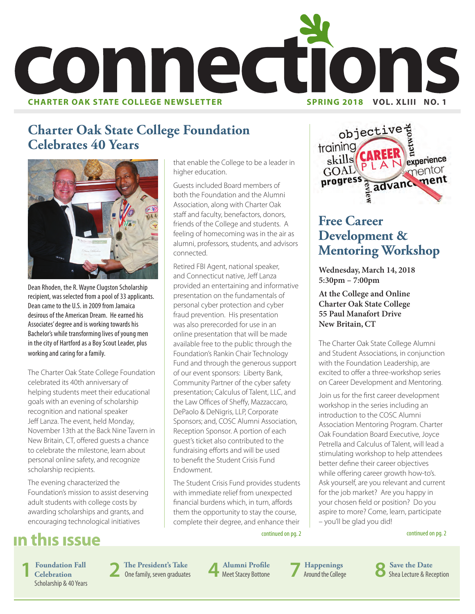

that enable the College to be a leader in

Guests included Board members of both the Foundation and the Alumni Association, along with Charter Oak staff and faculty, benefactors, donors, friends of the College and students. A feeling of homecoming was in the air as alumni, professors, students, and advisors

Retired FBI Agent, national speaker, and Connecticut native, Jeff Lanza provided an entertaining and informative presentation on the fundamentals of personal cyber protection and cyber fraud prevention. His presentation was also prerecorded for use in an online presentation that will be made available free to the public through the Foundation's Rankin Chair Technology Fund and through the generous support of our event sponsors: Liberty Bank, Community Partner of the cyber safety presentation; Calculus of Talent, LLC, and the Law Offices of Sheffy, Mazzaccaro, DePaolo & DeNigris, LLP, Corporate Sponsors; and, COSC Alumni Association, Reception Sponsor. A portion of each guest's ticket also contributed to the fundraising efforts and will be used to benefit the Student Crisis Fund

higher education.

connected.

Endowment.

#### **Charter Oak State College Foundation Celebrates 40 Years**



Dean Rhoden, the R. Wayne Clugston Scholarship recipient, was selected from a pool of 33 applicants. Dean came to the U.S. in 2009 from Jamaica desirous of the American Dream. He earned his Associates' degree and is working towards his Bachelor's while transforming lives of young men in the city of Hartford as a Boy Scout Leader, plus working and caring for a family.

The Charter Oak State College Foundation celebrated its 40th anniversary of helping students meet their educational goals with an evening of scholarship recognition and national speaker Jeff Lanza. The event, held Monday, November 13th at the Back Nine Tavern in New Britain, CT, offered guests a chance to celebrate the milestone, learn about personal online safety, and recognize scholarship recipients.

The evening characterized the Foundation's mission to assist deserving adult students with college costs by awarding scholarships and grants, and encouraging technological initiatives

#### in this issue

**1 Foundation Fall Celebration** Scholarship & 40 Years **2 The President's Take** One family, seven graduates **4 Alumni Profile**

**Alumni Profile 7 Happenings**<br>Meet Stacey Bottone **7 Around the College** 

The Student Crisis Fund provides students with immediate relief from unexpected financial burdens which, in turn, affords them the opportunity to stay the course, complete their degree, and enhance their

objective training Skills CAREER experience mentor  $GOM$ progress ment advance

#### **Free Career Development & Mentoring Workshop**

**Wednesday, March 14, 2018 5:30pm – 7:00pm**

**At the College and Online Charter Oak State College 55 Paul Manafort Drive New Britain, CT**

The Charter Oak State College Alumni and Student Associations, in conjunction with the Foundation Leadership, are excited to offer a three-workshop series on Career Development and Mentoring.

Join us for the first career development workshop in the series including an introduction to the COSC Alumni Association Mentoring Program. Charter Oak Foundation Board Executive, Joyce Petrella and Calculus of Talent, will lead a stimulating workshop to help attendees better define their career objectives while offering career growth how-to's. Ask yourself, are you relevant and current for the job market? Are you happy in your chosen field or position? Do you aspire to more? Come, learn, participate – you'll be glad you did!

continued on pg. 2

continued on pg. 2

**All Example 1 Represents Barbon Save the Date**<br> **8 Shea Lecture & Reception**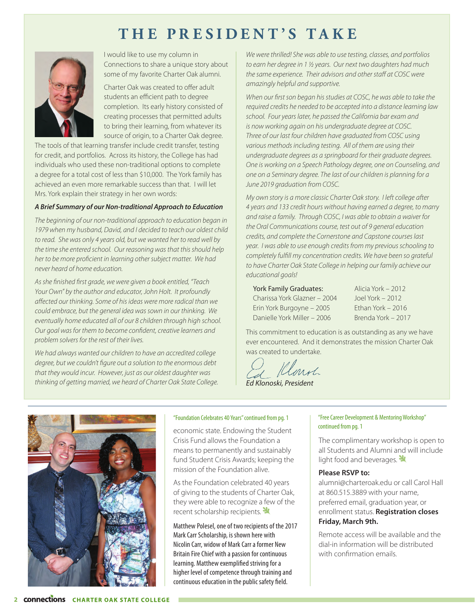#### **THE PRESIDENT'S TAKE**



I would like to use my column in Connections to share a unique story about some of my favorite Charter Oak alumni.

Charter Oak was created to offer adult students an efficient path to degree completion. Its early history consisted of creating processes that permitted adults to bring their learning, from whatever its source of origin, to a Charter Oak degree.

The tools of that learning transfer include credit transfer, testing for credit, and portfolios. Across its history, the College has had individuals who used these non-traditional options to complete a degree for a total cost of less than \$10,000. The York family has achieved an even more remarkable success than that. I will let Mrs. York explain their strategy in her own words:

#### *A Brief Summary of our Non-traditional Approach to Education*

*The beginning of our non-traditional approach to education began in 1979 when my husband, David, and I decided to teach our oldest child to read. She was only 4 years old, but we wanted her to read well by the time she entered school. Our reasoning was that this should help her to be more proficient in learning other subject matter. We had never heard of home education.*

*As she finished first grade, we were given a book entitled, "Teach Your Own" by the author and educator, John Holt. It profoundly affected our thinking. Some of his ideas were more radical than we could embrace, but the general idea was sown in our thinking. We eventually home educated all of our 8 children through high school. Our goal was for them to become confident, creative learners and problem solvers for the rest of their lives.* 

*We had always wanted our children to have an accredited college degree, but we couldn't figure out a solution to the enormous debt that they would incur. However, just as our oldest daughter was thinking of getting married, we heard of Charter Oak State College.* 

*We were thrilled! She was able to use testing, classes, and portfolios to earn her degree in 1 ½ years. Our next two daughters had much the same experience. Their advisors and other staff at COSC were amazingly helpful and supportive.*

*When our first son began his studies at COSC, he was able to take the required credits he needed to be accepted into a distance learning law school. Four years later, he passed the California bar exam and is now working again on his undergraduate degree at COSC. Three of our last four children have graduated from COSC using various methods including testing. All of them are using their undergraduate degrees as a springboard for their graduate degrees. One is working on a Speech Pathology degree, one on Counseling, and one on a Seminary degree. The last of our children is planning for a June 2019 graduation from COSC.*

*My own story is a more classic Charter Oak story. I left college after 4 years and 133 credit hours without having earned a degree, to marry and raise a family. Through COSC, I was able to obtain a waiver for the Oral Communications course, test out of 9 general education credits, and complete the Cornerstone and Capstone courses last year. I was able to use enough credits from my previous schooling to completely fulfill my concentration credits. We have been so grateful to have Charter Oak State College in helping our family achieve our educational goals!*

York Family Graduates: Charissa York Glazner – 2004 Erin York Burgoyne – 2005 Danielle York Miller – 2006

Alicia York – 2012 Joel York – 2012 Ethan York – 2016 Brenda York – 2017

This commitment to education is as outstanding as any we have ever encountered. And it demonstrates the mission Charter Oak was created to undertake.

*Ed Klonoski, President*

#### "Foundation Celebrates 40 Years" continued from pg. 1

economic state. Endowing the Student Crisis Fund allows the Foundation a means to permanently and sustainably fund Student Crisis Awards; keeping the mission of the Foundation alive.

As the Foundation celebrated 40 years of giving to the students of Charter Oak, they were able to recognize a few of the recent scholarship recipients.

Matthew Polesel, one of two recipients of the 2017 Mark Carr Scholarship, is shown here with Nicolin Carr, widow of Mark Carr a former New Britain Fire Chief with a passion for continuous learning. Matthew exemplified striving for a higher level of competence through training and continuous education in the public safety field.

#### "Free Career Development & Mentoring Workshop" continued from pg. 1

The complimentary workshop is open to all Students and Alumni and will include light food and beverages.  $\mathbf{\mathbf{\mathbf{\mathcal{Y}}}}$ 

#### **Please RSVP to:**

alumni@charteroak.edu or call Carol Hall at 860.515.3889 with your name, preferred email, graduation year, or enrollment status. **Registration closes Friday, March 9th.** 

Remote access will be available and the dial-in information will be distributed with confirmation emails.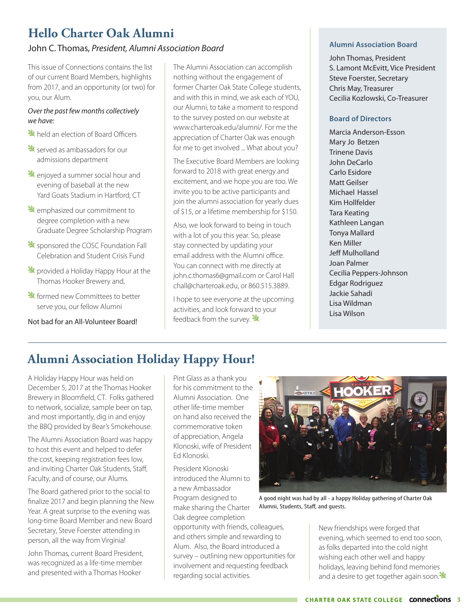#### **Hello Charter Oak Alumni**

#### John C. Thomas, *President, Alumni Association Board*

This issue of Connections contains the list of our current Board Members, highlights from 2017, and an opportunity (or two) for you, our Alum.

#### *Over the past few months collectively we have:*

- **X** held an election of Board Officers
- State served as ambassadors for our admissions department
- Lenjoyed a summer social hour and evening of baseball at the new Yard Goats Stadium in Hartford, CT
- **L** emphasized our commitment to degree completion with a new Graduate Degree Scholarship Program
- Supponsored the COSC Foundation Fall Celebration and Student Crisis Fund
- **X** provided a Holiday Happy Hour at the Thomas Hooker Brewery and,
- **X** formed new Committees to better serve you, our fellow Alumni

Not bad for an All-Volunteer Board!

The Alumni Association can accomplish nothing without the engagement of former Charter Oak State College students, and with this in mind, we ask each of YOU, our Alumni, to take a moment to respond to the survey posted on our website at www.charteroak.edu/alumni/. For me the appreciation of Charter Oak was enough for me to get involved ... What about you?

The Executive Board Members are looking forward to 2018 with great energy and excitement, and we hope you are too. We invite you to be active participants and join the alumni association for yearly dues of \$15, or a lifetime membership for \$150.

Also, we look forward to being in touch with a lot of you this year. So, please stay connected by updating your email address with the Alumni office. You can connect with me directly at john.c.thomas6@gmail.com or Carol Hall chall@charteroak.edu, or 860.515.3889.

I hope to see everyone at the upcoming activities, and look forward to your feedback from the survey.  $\mathbf{\mathbf{\mathbf{\mathbf{\mathbf{Y}}}}}$ 

#### **Alumni Association Board**

John Thomas, President S. Lamont McEvitt, Vice President Steve Foerster, Secretary Chris May, Treasurer Cecilia Kozlowski, Co-Treasurer

#### **Board of Directors**

Marcia Anderson-Esson Mary Jo Betzen Trinene Davis John DeCarlo Carlo Esidore Matt Geilser Michael Hassel Kim Hollfelder Tara Keating Kathleen Langan Tonya Mallard Ken Miller Jeff Mulholland Joan Palmer Cecilia Peppers-Johnson Edgar Rodriguez Jackie Sahadi Lisa Wildman Lisa Wilson

#### **Alumni Association Holiday Happy Hour!**

A Holiday Happy Hour was held on December 5, 2017 at the Thomas Hooker Brewery in Bloomfield, CT. Folks gathered to network, socialize, sample beer on tap, and most importantly, dig in and enjoy the BBQ provided by Bear's Smokehouse.

The Alumni Association Board was happy to host this event and helped to defer the cost, keeping registration fees low, and inviting Charter Oak Students, Staff, Faculty, and of course, our Alums.

The Board gathered prior to the social to finalize 2017 and begin planning the New Year. A great surprise to the evening was long-time Board Member and new Board Secretary, Steve Foerster attending in person, all the way from Virginia!

John Thomas, current Board President, was recognized as a life-time member and presented with a Thomas Hooker

Pint Glass as a thank you for his commitment to the Alumni Association. One other life-time member on hand also received the commemorative token of appreciation, Angela Klonoski, wife of President Ed Klonoski.

President Klonoski introduced the Alumni to a new Ambassador Program designed to make sharing the Charter Oak degree completion

opportunity with friends, colleagues, and others simple and rewarding to Alum. Also, the Board introduced a survey – outlining new opportunities for involvement and requesting feedback regarding social activities.



A good night was had by all - a happy Holiday gathering of Charter Oak Alumni, Students, Staff, and guests.

New friendships were forged that evening, which seemed to end too soon, as folks departed into the cold night wishing each other well and happy holidays, leaving behind fond memories and a desire to get together again soon.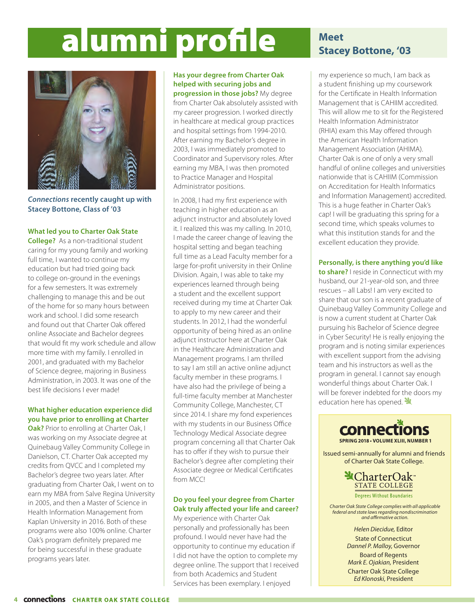# alumni profile **Meet**



*Connections* **recently caught up with Stacey Bottone, Class of '03**

#### **What led you to Charter Oak State**

**College?** As a non-traditional student caring for my young family and working full time, I wanted to continue my education but had tried going back to college on-ground in the evenings for a few semesters. It was extremely challenging to manage this and be out of the home for so many hours between work and school. I did some research and found out that Charter Oak offered online Associate and Bachelor degrees that would fit my work schedule and allow more time with my family. I enrolled in 2001, and graduated with my Bachelor of Science degree, majoring in Business Administration, in 2003. It was one of the best life decisions I ever made!

#### **What higher education experience did you have prior to enrolling at Charter**

**Oak?** Prior to enrolling at Charter Oak, I was working on my Associate degree at Quinebaug Valley Community College in Danielson, CT. Charter Oak accepted my credits from QVCC and I completed my Bachelor's degree two years later. After graduating from Charter Oak, I went on to earn my MBA from Salve Regina University in 2005, and then a Master of Science in Health Information Management from Kaplan University in 2016. Both of these programs were also 100% online. Charter Oak's program definitely prepared me for being successful in these graduate programs years later.

#### **Has your degree from Charter Oak helped with securing jobs and progression in those jobs?** My degree

from Charter Oak absolutely assisted with my career progression. I worked directly in healthcare at medical group practices and hospital settings from 1994-2010. After earning my Bachelor's degree in 2003, I was immediately promoted to Coordinator and Supervisory roles. After earning my MBA, I was then promoted to Practice Manager and Hospital Administrator positions.

In 2008, I had my first experience with teaching in higher education as an adjunct instructor and absolutely loved it. I realized this was my calling. In 2010, I made the career change of leaving the hospital setting and began teaching full time as a Lead Faculty member for a large for-profit university in their Online Division. Again, I was able to take my experiences learned through being a student and the excellent support received during my time at Charter Oak to apply to my new career and their students. In 2012, I had the wonderful opportunity of being hired as an online adjunct instructor here at Charter Oak in the Healthcare Administration and Management programs. I am thrilled to say I am still an active online adjunct faculty member in these programs. I have also had the privilege of being a full-time faculty member at Manchester Community College, Manchester, CT since 2014. I share my fond experiences with my students in our Business Office Technology Medical Associate degree program concerning all that Charter Oak has to offer if they wish to pursue their Bachelor's degree after completing their Associate degree or Medical Certificates from MCCI

#### **Do you feel your degree from Charter Oak truly affected your life and career?**

My experience with Charter Oak personally and professionally has been profound. I would never have had the opportunity to continue my education if I did not have the option to complete my degree online. The support that I received from both Academics and Student Services has been exemplary. I enjoyed

### **Stacey Bottone, '03**

my experience so much, I am back as a student finishing up my coursework for the Certificate in Health Information Management that is CAHIIM accredited. This will allow me to sit for the Registered Health Information Administrator (RHIA) exam this May offered through the American Health Information Management Association (AHIMA). Charter Oak is one of only a very small handful of online colleges and universities nationwide that is CAHIIM (Commission on Accreditation for Health Informatics and Information Management) accredited. This is a huge feather in Charter Oak's cap! I will be graduating this spring for a second time, which speaks volumes to what this institution stands for and the excellent education they provide.

#### **Personally, is there anything you'd like**

**to share?** I reside in Connecticut with my husband, our 21-year-old son, and three rescues – all Labs! I am very excited to share that our son is a recent graduate of Quinebaug Valley Community College and is now a current student at Charter Oak pursuing his Bachelor of Science degree in Cyber Security! He is really enjoying the program and is noting similar experiences with excellent support from the advising team and his instructors as well as the program in general. I cannot say enough wonderful things about Charter Oak. I will be forever indebted for the doors my education here has opened.  $\mathbf{\mathcal{H}}$ 



Issued semi-annually for alumni and friends of Charter Oak State College.

> $\triangleleft$ CharterOak<sup>®</sup> **STATE COLLEGE Degrees Without Boundaries**

*Charter Oak State College complies with all applicable federal and state laws regarding nondiscrimination and affirmative action.*

> *Helen Diecidue,* Editor State of Connecticut *Dannel P. Malloy*, Governor Board of Regents *Mark E. Ojakian,* President Charter Oak State College *Ed Klonoski*, President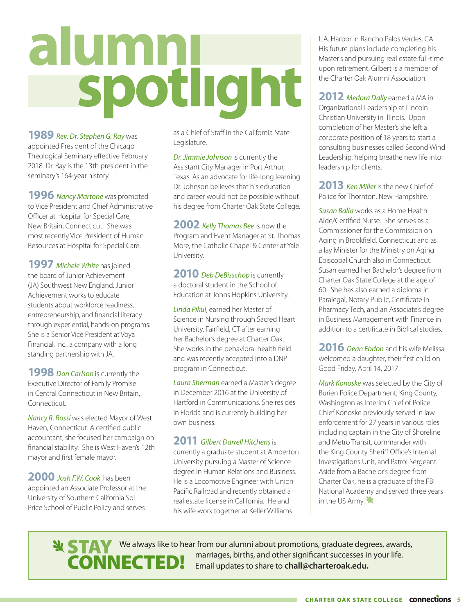# alumnu

**1989** *Rev. Dr. Stephen G. Ray* was appointed President of the Chicago Theological Seminary effective February 2018. Dr. Ray is the 13th president in the seminary's 164-year history.

**1996** *Nancy Martone* was promoted to Vice President and Chief Administrative Officer at Hospital for Special Care, New Britain, Connecticut. She was most recently Vice President of Human Resources at Hospital for Special Care.

**1997** *Michele White* has joined the board of Junior Achievement (JA) Southwest New England. Junior Achievement works to educate students about workforce readiness, entrepreneurship, and financial literacy through experiential, hands-on programs. She is a Senior Vice President at Voya Financial, Inc., a company with a long standing partnership with JA.

**1998** *Don Carlson* is currently the Executive Director of Family Promise in Central Connecticut in New Britain, Connecticut.

*Nancy R. Rossi* was elected Mayor of West Haven, Connecticut. A certified public accountant, she focused her campaign on financial stability. She is West Haven's 12th mayor and first female mayor.

**2000** *Josh F.W. Cook* has been appointed an Associate Professor at the University of Southern California Sol Price School of Public Policy and serves

as a Chief of Staff in the California State Legislature.

*Dr. Jimmie Johnson* is currently the Assistant City Manager in Port Arthur, Texas. As an advocate for life-long learning Dr. Johnson believes that his education and career would not be possible without his degree from Charter Oak State College.

**2002** *Kelly Thomas Bee* is now the Program and Event Manager at St. Thomas More, the Catholic Chapel & Center at Yale University.

2010 *Deb DeBisschop* is currently a doctoral student in the School of Education at Johns Hopkins University.

*Linda Pikul*, earned her Master of Science in Nursing through Sacred Heart University, Fairfield, CT after earning her Bachelor's degree at Charter Oak. She works in the behavioral health field and was recently accepted into a DNP program in Connecticut.

*Laura Sherman* earned a Master's degree in December 2016 at the University of Hartford in Communications. She resides in Florida and is currently building her own business.

#### **2011** *Gilbert Darrell Hitchens* is

currently a graduate student at Amberton University pursuing a Master of Science degree in Human Relations and Business. He is a Locomotive Engineer with Union Pacific Railroad and recently obtained a real estate license in California. He and his wife work together at Keller Williams

L.A. Harbor in Rancho Palos Verdes, CA. His future plans include completing his Master's and pursuing real estate full-time upon retirement. Gilbert is a member of the Charter Oak Alumni Association.

**2012** *Medora Dally* earned a MA in Organizational Leadership at Lincoln Christian University in Illinois. Upon completion of her Master's she left a corporate position of 18 years to start a consulting businesses called Second Wind Leadership, helping breathe new life into leadership for clients.

**2013** *Ken Miller* is the new Chief of Police for Thornton, New Hampshire.

*Susan Balla* works as a Home Health Aide/Certified Nurse. She serves as a Commissioner for the Commission on Aging in Brookfield, Connecticut and as a lay Minister for the Ministry on Aging Episcopal Church also in Connecticut. Susan earned her Bachelor's degree from Charter Oak State College at the age of 60. She has also earned a diploma in Paralegal, Notary Public, Certificate in Pharmacy Tech, and an Associate's degree in Business Management with Finance in addition to a certificate in Biblical studies.

**2016** *Dean Ebdon* and his wife Melissa welcomed a daughter, their first child on Good Friday, April 14, 2017.

*Mark Konoske* was selected by the City of Burien Police Department, King County, Washington as Interim Chief of Police. Chief Konoske previously served in law enforcement for 27 years in various roles including captain in the City of Shoreline and Metro Transit, commander with the King County Sheriff Office's Internal Investigations Unit, and Patrol Sergeant. Aside from a Bachelor's degree from Charter Oak, he is a graduate of the FBI National Academy and served three years in the US Army.  $\mathbf{H}$ 

**STAY** CONNECTED! We always like to hear from our alumni about promotions, graduate degrees, awards, marriages, births, and other significant successes in your life. **ELIEU:** Email updates to share to **chall@charteroak.edu.**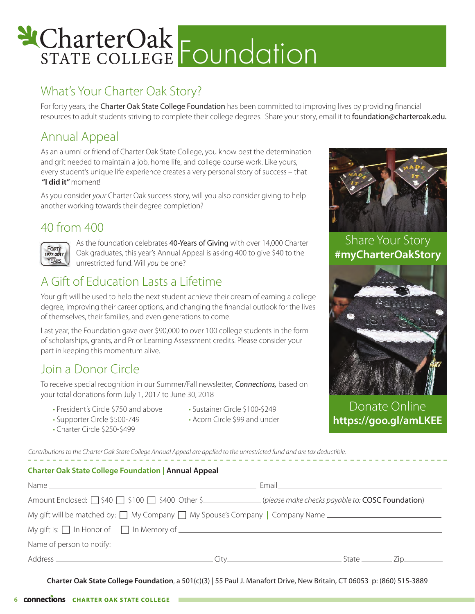# & CharterOak<br>STATE COLLEGE FOUNDATION

#### What's Your Charter Oak Story?

For forty years, the Charter Oak State College Foundation has been committed to improving lives by providing financial resources to adult students striving to complete their college degrees. Share your story, email it to foundation@charteroak.edu.

#### Annual Appeal

As an alumni or friend of Charter Oak State College, you know best the determination and grit needed to maintain a job, home life, and college course work. Like yours, every student's unique life experience creates a very personal story of success – that  **"I did it"** moment!

As you consider *your* Charter Oak success story, will you also consider giving to help another working towards their degree completion?

#### 40 from 400



As the foundation celebrates 40-Years of Giving with over 14,000 Charter Oak graduates, this year's Annual Appeal is asking 400 to give \$40 to the unrestricted fund. Will *you* be one?

#### A Gift of Education Lasts a Lifetime

Your gift will be used to help the next student achieve their dream of earning a college degree, improving their career options, and changing the financial outlook for the lives of themselves, their families, and even generations to come.

Last year, the Foundation gave over \$90,000 to over 100 college students in the form of scholarships, grants, and Prior Learning Assessment credits. Please consider your part in keeping this momentum alive.

#### Join a Donor Circle

To receive special recognition in our Summer/Fall newsletter, *Connections,* based on your total donations form July 1, 2017 to June 30, 2018

- President's Circle \$750 and above
- Sustainer Circle \$100-\$249
- Supporter Circle \$500-749
- Acorn Circle \$99 and under
- Charter Circle \$250-\$499

*Contributions to the Charter Oak State College Annual Appeal are applied to the unrestricted fund and are tax deductible.*

#### **Charter Oak State College Foundation | Annual Appeal**

| Amount Enclosed: $\Box$ \$40 $\Box$ \$100 $\Box$ \$400 Other \$_______________(please make checks payable to: COSC Foundation) |  |
|--------------------------------------------------------------------------------------------------------------------------------|--|
|                                                                                                                                |  |
| My gift is: $\Box$ In Honor of $\Box$ In Memory of $\Box$ is the set of $\Box$ in Memory of $\Box$ is:                         |  |
|                                                                                                                                |  |
|                                                                                                                                |  |

**Charter Oak State College Foundation**, a 501(c)(3) | 55 Paul J. Manafort Drive, New Britain, CT 06053 p: (860) 515-3889



Share Your Story **#myCharterOakStory**



Donate Online **https://goo.gl/amLKEE**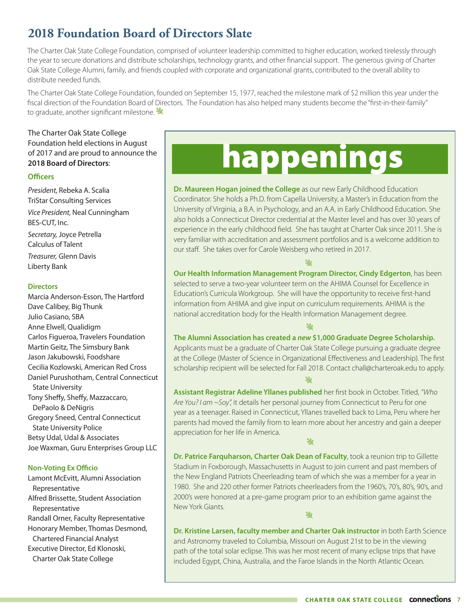#### **2018 Foundation Board of Directors Slate**

The Charter Oak State College Foundation, comprised of volunteer leadership committed to higher education, worked tirelessly through the year to secure donations and distribute scholarships, technology grants, and other financial support. The generous giving of Charter Oak State College Alumni, family, and friends coupled with corporate and organizational grants, contributed to the overall ability to distribute needed funds.

The Charter Oak State College Foundation, founded on September 15, 1977, reached the milestone mark of \$2 million this year under the fiscal direction of the Foundation Board of Directors. The Foundation has also helped many students become the "first-in-their-family" to graduate, another significant milestone.

The Charter Oak State College Foundation held elections in August of 2017 and are proud to announce the **2018 Board of Directors**:

#### **Officers**

*President,* Rebeka A. Scalia TriStar Consulting Services *Vice President,* Neal Cunningham BES-CUT, Inc. *Secretary,* Joyce Petrella Calculus of Talent *Treasurer,* Glenn Davis Liberty Bank

#### **Directors**

Marcia Anderson-Esson, The Hartford Dave Calibey, Big Thunk Julio Casiano, SBA Anne Elwell, Qualidigm Carlos Figueroa, Travelers Foundation Martin Geitz, The Simsbury Bank Jason Jakubowski, Foodshare Cecilia Kozlowski, American Red Cross Daniel Purushotham, Central Connecticut State University Tony Sheffy, Sheffy, Mazzaccaro, DePaolo & DeNigris Gregory Sneed, Central Connecticut State University Police Betsy Udal, Udal & Associates Joe Waxman, Guru Enterprises Group LLC

#### **Non-Voting Ex Officio**

Lamont McEvitt, Alumni Association Representative Alfred Brissette, Student Association Representative Randall Orner, Faculty Representative Honorary Member, Thomas Desmond, Chartered Financial Analyst Executive Director, Ed Klonoski, Charter Oak State College

# happenings

**Dr. Maureen Hogan joined the College** as our new Early Childhood Education Coordinator. She holds a Ph.D. from Capella University, a Master's in Education from the University of Virginia, a B.A. in Psychology, and an A.A. in Early Childhood Education. She also holds a Connecticut Director credential at the Master level and has over 30 years of experience in the early childhood field. She has taught at Charter Oak since 2011. She is very familiar with accreditation and assessment portfolios and is a welcome addition to our staff. She takes over for Carole Weisberg who retired in 2017.

#### 业

**Our Health Information Management Program Director, Cindy Edgerton**, has been selected to serve a two-year volunteer term on the AHIMA Counsel for Excellence in Education's Curricula Workgroup. She will have the opportunity to receive first-hand information from AHIMA and give input on curriculum requirements. AHIMA is the national accreditation body for the Health Information Management degree.

ملح

#### **The Alumni Association has created a** *new* **\$1,000 Graduate Degree Scholarship.**

Applicants must be a graduate of Charter Oak State College pursuing a graduate degree at the College (Master of Science in Organizational Effectiveness and Leadership). The first scholarship recipient will be selected for Fall 2018. Contact chall@charteroak.edu to apply. ايلا<br>ا

**Assistant Registrar Adeline Yllanes published** her first book in October. Titled, *"Who Are You? I am ~Soy",* it details her personal journey from Connecticut to Peru for one year as a teenager. Raised in Connecticut, Yllanes travelled back to Lima, Peru where her parents had moved the family from to learn more about her ancestry and gain a deeper appreciation for her life in America.

<u>الا</u>

**Dr. Patrice Farquharson, Charter Oak Dean of Faculty**, took a reunion trip to Gillette Stadium in Foxborough, Massachusetts in August to join current and past members of the New England Patriots Cheerleading team of which she was a member for a year in 1980. She and 220 other former Patriots cheerleaders from the 1960's, 70's, 80's, 90's, and 2000's were honored at a pre-game program prior to an exhibition game against the New York Giants.  $\mathbf{v}$ 

**Dr. Kristine Larsen, faculty member and Charter Oak instructor** in both Earth Science and Astronomy traveled to Columbia, Missouri on August 21st to be in the viewing path of the total solar eclipse. This was her most recent of many eclipse trips that have included Egypt, China, Australia, and the Faroe Islands in the North Atlantic Ocean.